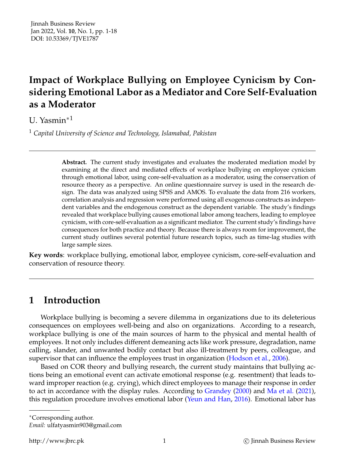# **Impact of Workplace Bullying on Employee Cynicism by Considering Emotional Labor as a Mediator and Core Self-Evaluation as a Moderator**

U. Yasmin∗<sup>1</sup>

<sup>1</sup> *Capital University of Science and Technology, Islamabad, Pakistan*

**Abstract.** The current study investigates and evaluates the moderated mediation model by examining at the direct and mediated effects of workplace bullying on employee cynicism through emotional labor, using core-self-evaluation as a moderator, using the conservation of resource theory as a perspective. An online questionnaire survey is used in the research design. The data was analyzed using SPSS and AMOS. To evaluate the data from 216 workers, correlation analysis and regression were performed using all exogenous constructs as independent variables and the endogenous construct as the dependent variable. The study's findings revealed that workplace bullying causes emotional labor among teachers, leading to employee cynicism, with core-self-evaluation as a significant mediator. The current study's findings have consequences for both practice and theory. Because there is always room for improvement, the current study outlines several potential future research topics, such as time-lag studies with large sample sizes.

**Key words**: workplace bullying, emotional labor, employee cynicism, core-self-evaluation and conservation of resource theory.

# **1 Introduction**

Workplace bullying is becoming a severe dilemma in organizations due to its deleterious consequences on employees well-being and also on organizations. According to a research, workplace bullying is one of the main sources of harm to the physical and mental health of employees. It not only includes different demeaning acts like work pressure, degradation, name calling, slander, and unwanted bodily contact but also ill-treatment by peers, colleague, and supervisor that can influence the employees trust in organization [\(Hodson et al.,](#page-16-0) [2006\)](#page-16-0).

Based on COR theory and bullying research, the current study maintains that bullying actions being an emotional event can activate emotional response (e.g. resentment) that leads toward improper reaction (e.g. crying), which direct employees to manage their response in order to act in accordance with the display rules. According to [Grandey](#page-16-1) [\(2000\)](#page-16-1) and [Ma et al.](#page-16-2) [\(2021\)](#page-16-2), this regulation procedure involves emotional labor [\(Yeun and Han,](#page-17-0) [2016\)](#page-17-0). Emotional labor has

<sup>∗</sup>Corresponding author.

*Email:* ulfatyasmin903@gmail.com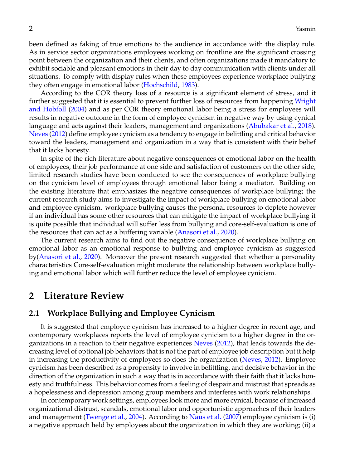been defined as faking of true emotions to the audience in accordance with the display rule. As in service sector organizations employees working on frontline are the significant crossing point between the organization and their clients, and often organizations made it mandatory to exhibit sociable and pleasant emotions in their day to day communication with clients under all situations. To comply with display rules when these employees experience workplace bullying they often engage in emotional labor [\(Hochschild,](#page-16-3) [1983\)](#page-16-3).

According to the COR theory loss of a resource is a significant element of stress, and it further suggested that it is essential to prevent further loss of resources from happening [Wright](#page-17-1) [and Hobfoll](#page-17-1) [\(2004\)](#page-17-1) and as per COR theory emotional labor being a stress for employees will results in negative outcome in the form of employee cynicism in negative way by using cynical language and acts against their leaders, management and organizations [\(Abubakar et al.,](#page-15-0) [2018\)](#page-15-0). [Neves](#page-17-2) [\(2012\)](#page-17-2) define employee cynicism as a tendency to engage in belittling and critical behavior toward the leaders, management and organization in a way that is consistent with their belief that it lacks honesty.

In spite of the rich literature about negative consequences of emotional labor on the health of employees, their job performance at one side and satisfaction of customers on the other side, limited research studies have been conducted to see the consequences of workplace bullying on the cynicism level of employees through emotional labor being a mediator. Building on the existing literature that emphasizes the negative consequences of workplace bullying; the current research study aims to investigate the impact of workplace bullying on emotional labor and employee cynicism. workplace bullying causes the personal resources to deplete however if an individual has some other resources that can mitigate the impact of workplace bullying it is quite possible that individual will suffer less from bullying and core-self-evaluation is one of the resources that can act as a buffering variable [\(Anasori et al.,](#page-15-1) [2020\)](#page-15-1).

The current research aims to find out the negative consequence of workplace bullying on emotional labor as an emotional response to bullying and employee cynicism as suggested by[\(Anasori et al.,](#page-15-1) [2020\)](#page-15-1). Moreover the present research suggested that whether a personality characteristics Core-self-evaluation might moderate the relationship between workplace bullying and emotional labor which will further reduce the level of employee cynicism.

# **2 Literature Review**

### **2.1 Workplace Bullying and Employee Cynicism**

It is suggested that employee cynicism has increased to a higher degree in recent age, and contemporary workplaces reports the level of employee cynicism to a higher degree in the organizations in a reaction to their negative experiences [Neves](#page-17-2) [\(2012\)](#page-17-2), that leads towards the decreasing level of optional job behaviors that is not the part of employee job description but it help in increasing the productivity of employees so does the organization [\(Neves,](#page-17-2) [2012\)](#page-17-2). Employee cynicism has been described as a propensity to involve in belittling, and decisive behavior in the direction of the organization in such a way that is in accordance with their faith that it lacks honesty and truthfulness. This behavior comes from a feeling of despair and mistrust that spreads as a hopelessness and depression among group members and interferes with work relationships.

In contemporary work settings, employees look more and more cynical, because of increased organizational distrust, scandals, emotional labor and opportunistic approaches of their leaders and management [\(Twenge et al.,](#page-17-3) [2004\)](#page-17-3). According to [Naus et al.](#page-17-4) [\(2007\)](#page-17-4) employee cynicism is (i) a negative approach held by employees about the organization in which they are working; (ii) a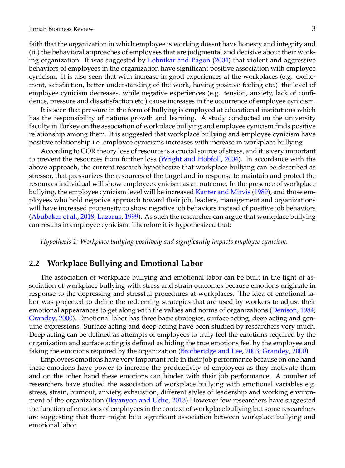faith that the organization in which employee is working doesnt have honesty and integrity and (iii) the behavioral approaches of employees that are judgmental and decisive about their working organization. It was suggested by [Lobnikar and Pagon](#page-16-4) [\(2004\)](#page-16-4) that violent and aggressive behaviors of employees in the organization have significant positive association with employee cynicism. It is also seen that with increase in good experiences at the workplaces (e.g. excitement, satisfaction, better understanding of the work, having positive feeling etc.) the level of employee cynicism decreases, while negative experiences (e.g. tension, anxiety, lack of confidence, pressure and dissatisfaction etc.) cause increases in the occurrence of employee cynicism.

It is seen that pressure in the form of bullying is employed at educational institutions which has the responsibility of nations growth and learning. A study conducted on the university faculty in Turkey on the association of workplace bullying and employee cynicism finds positive relationship among them. It is suggested that workplace bullying and employee cynicism have positive relationship i.e. employee cynicisms increases with increase in workplace bullying.

According to COR theory loss of resource is a crucial source of stress, and it is very important to prevent the resources from further loss [\(Wright and Hobfoll,](#page-17-1) [2004\)](#page-17-1). In accordance with the above approach, the current research hypothesize that workplace bullying can be described as stressor, that pressurizes the resources of the target and in response to maintain and protect the resources individual will show employee cynicism as an outcome. In the presence of workplace bullying, the employee cynicism level will be increased [Kanter and Mirvis](#page-16-5) [\(1989\)](#page-16-5), and those employees who hold negative approach toward their job, leaders, management and organizations will have increased propensity to show negative job behaviors instead of positive job behaviors [\(Abubakar et al.,](#page-15-0) [2018;](#page-15-0) [Lazarus,](#page-16-6) [1999\)](#page-16-6). As such the researcher can argue that workplace bullying can results in employee cynicism. Therefore it is hypothesized that:

*Hypothesis 1: Workplace bullying positively and significantly impacts employee cynicism.*

#### **2.2 Workplace Bullying and Emotional Labor**

The association of workplace bullying and emotional labor can be built in the light of association of workplace bullying with stress and strain outcomes because emotions originate in response to the depressing and stressful procedures at workplaces. The idea of emotional labor was projected to define the redeeming strategies that are used by workers to adjust their emotional appearances to get along with the values and norms of organizations [\(Denison,](#page-15-2) [1984;](#page-15-2) [Grandey,](#page-16-1) [2000\)](#page-16-1). Emotional labor has three basic strategies, surface acting, deep acting and genuine expressions. Surface acting and deep acting have been studied by researchers very much. Deep acting can be defined as attempts of employees to truly feel the emotions required by the organization and surface acting is defined as hiding the true emotions feel by the employee and faking the emotions required by the organization [\(Brotheridge and Lee,](#page-15-3) [2003;](#page-15-3) [Grandey,](#page-16-1) [2000\)](#page-16-1).

Employees emotions have very important role in their job performance because on one hand these emotions have power to increase the productivity of employees as they motivate them and on the other hand these emotions can hinder with their job performance. A number of researchers have studied the association of workplace bullying with emotional variables e.g. stress, strain, burnout, anxiety, exhaustion, different styles of leadership and working environment of the organization [\(Ikyanyon and Ucho,](#page-16-7) [2013\)](#page-16-7).However few researchers have suggested the function of emotions of employees in the context of workplace bullying but some researchers are suggesting that there might be a significant association between workplace bullying and emotional labor.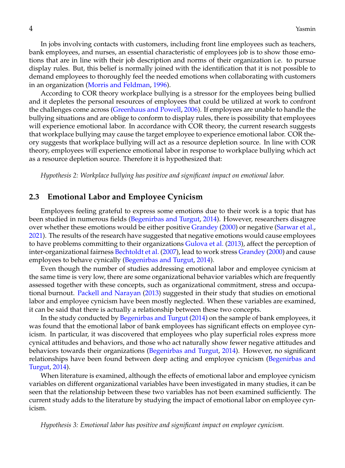In jobs involving contacts with customers, including front line employees such as teachers, bank employees, and nurses, an essential characteristic of employees job is to show those emotions that are in line with their job description and norms of their organization i.e. to pursue display rules. But, this belief is normally joined with the identification that it is not possible to demand employees to thoroughly feel the needed emotions when collaborating with customers in an organization [\(Morris and Feldman,](#page-16-8) [1996\)](#page-16-8).

According to COR theory workplace bullying is a stressor for the employees being bullied and it depletes the personal resources of employees that could be utilized at work to confront the challenges come across [\(Greenhaus and Powell,](#page-16-9) [2006\)](#page-16-9). If employees are unable to handle the bullying situations and are oblige to conform to display rules, there is possibility that employees will experience emotional labor. In accordance with COR theory, the current research suggests that workplace bullying may cause the target employee to experience emotional labor. COR theory suggests that workplace bullying will act as a resource depletion source. In line with COR theory, employees will experience emotional labor in response to workplace bullying which act as a resource depletion source. Therefore it is hypothesized that:

*Hypothesis 2: Workplace bullying has positive and significant impact on emotional labor.*

#### **2.3 Emotional Labor and Employee Cynicism**

Employees feeling grateful to express some emotions due to their work is a topic that has been studied in numerous fields [\(Begenirbas and Turgut,](#page-15-4) [2014\)](#page-15-4). However, researchers disagree over whether these emotions would be either positive [Grandey](#page-16-1) [\(2000\)](#page-16-1) or negative [\(Sarwar et al.,](#page-17-5) [2021\)](#page-17-5). The results of the research have suggested that negative emotions would cause employees to have problems committing to their organizations [Gulova et al.](#page-16-10) [\(2013\)](#page-16-10), affect the perception of inter-organizational fairness [Bechtoldt et al.](#page-15-5) [\(2007\)](#page-15-5), lead to work stress [Grandey](#page-16-1) [\(2000\)](#page-16-1) and cause employees to behave cynically [\(Begenirbas and Turgut,](#page-15-4) [2014\)](#page-15-4).

Even though the number of studies addressing emotional labor and employee cynicism at the same time is very low, there are some organizational behavior variables which are frequently assessed together with these concepts, such as organizational commitment, stress and occupational burnout. [Packell and Narayan](#page-17-6) [\(2013\)](#page-17-6) suggested in their study that studies on emotional labor and employee cynicism have been mostly neglected. When these variables are examined, it can be said that there is actually a relationship between these two concepts.

In the study conducted by [Begenirbas and Turgut](#page-15-4) [\(2014\)](#page-15-4) on the sample of bank employees, it was found that the emotional labor of bank employees has significant effects on employee cynicism. In particular, it was discovered that employees who play superficial roles express more cynical attitudes and behaviors, and those who act naturally show fewer negative attitudes and behaviors towards their organizations [\(Begenirbas and Turgut,](#page-15-4) [2014\)](#page-15-4). However, no significant relationships have been found between deep acting and employee cynicism [\(Begenirbas and](#page-15-4) [Turgut,](#page-15-4) [2014\)](#page-15-4).

When literature is examined, although the effects of emotional labor and employee cynicism variables on different organizational variables have been investigated in many studies, it can be seen that the relationship between these two variables has not been examined sufficiently. The current study adds to the literature by studying the impact of emotional labor on employee cynicism.

*Hypothesis 3: Emotional labor has positive and significant impact on employee cynicism.*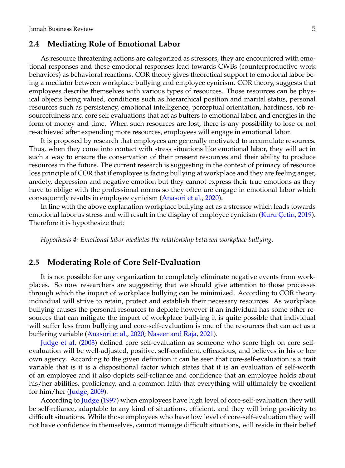#### **2.4 Mediating Role of Emotional Labor**

As resource threatening actions are categorized as stressors, they are encountered with emotional responses and these emotional responses lead towards CWBs (counterproductive work behaviors) as behavioral reactions. COR theory gives theoretical support to emotional labor being a mediator between workplace bullying and employee cynicism. COR theory, suggests that employees describe themselves with various types of resources. Those resources can be physical objects being valued, conditions such as hierarchical position and marital status, personal resources such as persistency, emotional intelligence, perceptual orientation, hardiness, job resourcefulness and core self evaluations that act as buffers to emotional labor, and energies in the form of money and time. When such resources are lost, there is any possibility to lose or not re-achieved after expending more resources, employees will engage in emotional labor.

It is proposed by research that employees are generally motivated to accumulate resources. Thus, when they come into contact with stress situations like emotional labor, they will act in such a way to ensure the conservation of their present resources and their ability to produce resources in the future. The current research is suggesting in the context of primacy of resource loss principle of COR that if employee is facing bullying at workplace and they are feeling anger, anxiety, depression and negative emotion but they cannot express their true emotions as they have to oblige with the professional norms so they often are engage in emotional labor which consequently results in employee cynicism [\(Anasori et al.,](#page-15-1) [2020\)](#page-15-1).

In line with the above explanation workplace bullying act as a stressor which leads towards emotional labor as stress and will result in the display of employee cynicism (Kuru Çetin, [2019\)](#page-16-11). Therefore it is hypothesize that:

*Hypothesis 4: Emotional labor mediates the relationship between workplace bullying.*

#### **2.5 Moderating Role of Core Self-Evaluation**

It is not possible for any organization to completely eliminate negative events from workplaces. So now researchers are suggesting that we should give attention to those processes through which the impact of workplace bullying can be minimized. According to COR theory individual will strive to retain, protect and establish their necessary resources. As workplace bullying causes the personal resources to deplete however if an individual has some other resources that can mitigate the impact of workplace bullying it is quite possible that individual will suffer less from bullying and core-self-evaluation is one of the resources that can act as a buffering variable [\(Anasori et al.,](#page-15-1) [2020;](#page-15-1) [Naseer and Raja,](#page-16-12) [2021\)](#page-16-12).

[Judge et al.](#page-16-13) [\(2003\)](#page-16-13) defined core self-evaluation as someone who score high on core selfevaluation will be well-adjusted, positive, self-confident, efficacious, and believes in his or her own agency. According to the given definition it can be seen that core-self-evaluation is a trait variable that is it is a dispositional factor which states that it is an evaluation of self-worth of an employee and it also depicts self-reliance and confidence that an employee holds about his/her abilities, proficiency, and a common faith that everything will ultimately be excellent for him/her [\(Judge,](#page-16-14) [2009\)](#page-16-14).

According to [Judge](#page-16-15) [\(1997\)](#page-16-15) when employees have high level of core-self-evaluation they will be self-reliance, adaptable to any kind of situations, efficient, and they will bring positivity to difficult situations. While those employees who have low level of core-self-evaluation they will not have confidence in themselves, cannot manage difficult situations, will reside in their belief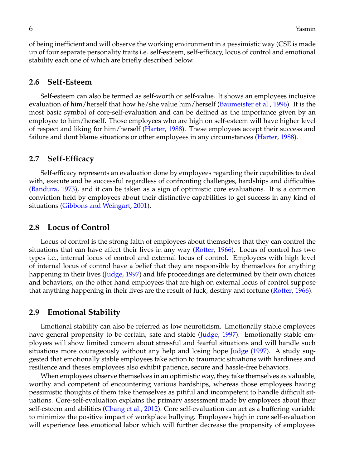of being inefficient and will observe the working environment in a pessimistic way (CSE is made up of four separate personality traits i.e. self-esteem, self-efficacy, locus of control and emotional stability each one of which are briefly described below.

#### **2.6 Self-Esteem**

Self-esteem can also be termed as self-worth or self-value. It shows an employees inclusive evaluation of him/herself that how he/she value him/herself [\(Baumeister et al.,](#page-15-6) [1996\)](#page-15-6). It is the most basic symbol of core-self-evaluation and can be defined as the importance given by an employee to him/herself. Those employees who are high on self-esteem will have higher level of respect and liking for him/herself [\(Harter,](#page-16-16) [1988\)](#page-16-16). These employees accept their success and failure and dont blame situations or other employees in any circumstances [\(Harter,](#page-16-16) [1988\)](#page-16-16).

#### **2.7 Self-Efficacy**

Self-efficacy represents an evaluation done by employees regarding their capabilities to deal with, execute and be successful regardless of confronting challenges, hardships and difficulties [\(Bandura,](#page-15-7) [1973\)](#page-15-7), and it can be taken as a sign of optimistic core evaluations. It is a common conviction held by employees about their distinctive capabilities to get success in any kind of situations [\(Gibbons and Weingart,](#page-15-8) [2001\)](#page-15-8).

#### **2.8 Locus of Control**

Locus of control is the strong faith of employees about themselves that they can control the situations that can have affect their lives in any way [\(Rotter,](#page-17-7) [1966\)](#page-17-7). Locus of control has two types i.e., internal locus of control and external locus of control. Employees with high level of internal locus of control have a belief that they are responsible by themselves for anything happening in their lives [\(Judge,](#page-16-15) [1997\)](#page-16-15) and life proceedings are determined by their own choices and behaviors, on the other hand employees that are high on external locus of control suppose that anything happening in their lives are the result of luck, destiny and fortune [\(Rotter,](#page-17-7) [1966\)](#page-17-7).

#### **2.9 Emotional Stability**

Emotional stability can also be referred as low neuroticism. Emotionally stable employees have general propensity to be certain, safe and stable [\(Judge,](#page-16-15) [1997\)](#page-16-15). Emotionally stable employees will show limited concern about stressful and fearful situations and will handle such situations more courageously without any help and losing hope [Judge](#page-16-15) [\(1997\)](#page-16-15). A study suggested that emotionally stable employees take action to traumatic situations with hardiness and resilience and theses employees also exhibit patience, secure and hassle-free behaviors.

When employees observe themselves in an optimistic way, they take themselves as valuable, worthy and competent of encountering various hardships, whereas those employees having pessimistic thoughts of them take themselves as pitiful and incompetent to handle difficult situations. Core-self-evaluation explains the primary assessment made by employees about their self-esteem and abilities [\(Chang et al.,](#page-15-9) [2012\)](#page-15-9). Core self-evaluation can act as a buffering variable to minimize the positive impact of workplace bullying. Employees high in core self-evaluation will experience less emotional labor which will further decrease the propensity of employees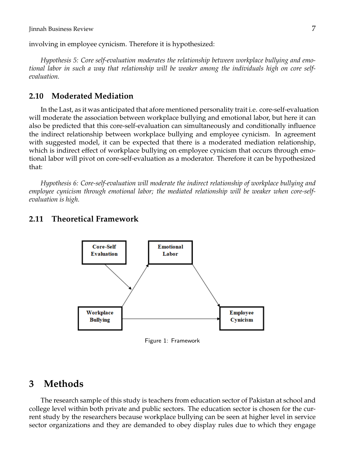involving in employee cynicism. Therefore it is hypothesized:

*Hypothesis 5: Core self-evaluation moderates the relationship between workplace bullying and emotional labor in such a way that relationship will be weaker among the individuals high on core selfevaluation.*

### **2.10 Moderated Mediation**

In the Last, as it was anticipated that afore mentioned personality trait i.e. core-self-evaluation will moderate the association between workplace bullying and emotional labor, but here it can also be predicted that this core-self-evaluation can simultaneously and conditionally influence the indirect relationship between workplace bullying and employee cynicism. In agreement with suggested model, it can be expected that there is a moderated mediation relationship, which is indirect effect of workplace bullying on employee cynicism that occurs through emotional labor will pivot on core-self-evaluation as a moderator. Therefore it can be hypothesized that:

*Hypothesis 6: Core-self-evaluation will moderate the indirect relationship of workplace bullying and employee cynicism through emotional labor; the mediated relationship will be weaker when core-selfevaluation is high.*

### **2.11 Theoretical Framework**



Figure 1: Framework

## **3 Methods**

The research sample of this study is teachers from education sector of Pakistan at school and college level within both private and public sectors. The education sector is chosen for the current study by the researchers because workplace bullying can be seen at higher level in service sector organizations and they are demanded to obey display rules due to which they engage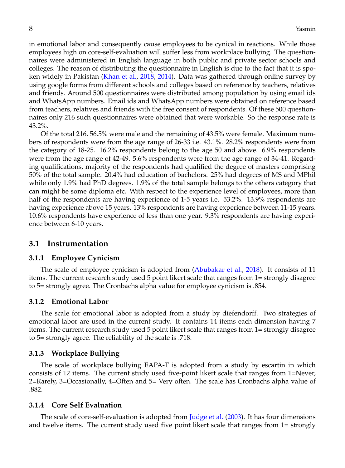in emotional labor and consequently cause employees to be cynical in reactions. While those employees high on core-self-evaluation will suffer less from workplace bullying. The questionnaires were administered in English language in both public and private sector schools and colleges. The reason of distributing the questionnaire in English is due to the fact that it is spoken widely in Pakistan [\(Khan et al.,](#page-16-17) [2018,](#page-16-17) [2014\)](#page-16-18). Data was gathered through online survey by using google forms from different schools and colleges based on reference by teachers, relatives and friends. Around 500 questionnaires were distributed among population by using email ids and WhatsApp numbers. Email ids and WhatsApp numbers were obtained on reference based from teachers, relatives and friends with the free consent of respondents. Of these 500 questionnaires only 216 such questionnaires were obtained that were workable. So the response rate is 43.2%.

Of the total 216, 56.5% were male and the remaining of 43.5% were female. Maximum numbers of respondents were from the age range of 26-33 i.e. 43.1%. 28.2% respondents were from the category of 18-25. 16.2% respondents belong to the age 50 and above. 6.9% respondents were from the age range of 42-49. 5.6% respondents were from the age range of 34-41. Regarding qualifications, majority of the respondents had qualified the degree of masters comprising 50% of the total sample. 20.4% had education of bachelors. 25% had degrees of MS and MPhil while only 1.9% had PhD degrees. 1.9% of the total sample belongs to the others category that can might be some diploma etc. With respect to the experience level of employees, more than half of the respondents are having experience of 1-5 years i.e. 53.2%. 13.9% respondents are having experience above 15 years. 13% respondents are having experience between 11-15 years. 10.6% respondents have experience of less than one year. 9.3% respondents are having experience between 6-10 years.

### **3.1 Instrumentation**

#### **3.1.1 Employee Cynicism**

The scale of employee cynicism is adopted from [\(Abubakar et al.,](#page-15-0) [2018\)](#page-15-0). It consists of 11 items. The current research study used 5 point likert scale that ranges from 1= strongly disagree to 5= strongly agree. The Cronbachs alpha value for employee cynicism is .854.

#### **3.1.2 Emotional Labor**

The scale for emotional labor is adopted from a study by diefendorff. Two strategies of emotional labor are used in the current study. It contains 14 items each dimension having 7 items. The current research study used 5 point likert scale that ranges from 1= strongly disagree to 5= strongly agree. The reliability of the scale is .718.

#### **3.1.3 Workplace Bullying**

The scale of workplace bullying EAPA-T is adopted from a study by escartin in which consists of 12 items. The current study used five-point likert scale that ranges from 1=Never, 2=Rarely, 3=Occasionally, 4=Often and 5= Very often. The scale has Cronbachs alpha value of .882.

#### **3.1.4 Core Self Evaluation**

The scale of core-self-evaluation is adopted from [Judge et al.](#page-16-13) [\(2003\)](#page-16-13). It has four dimensions and twelve items. The current study used five point likert scale that ranges from 1= strongly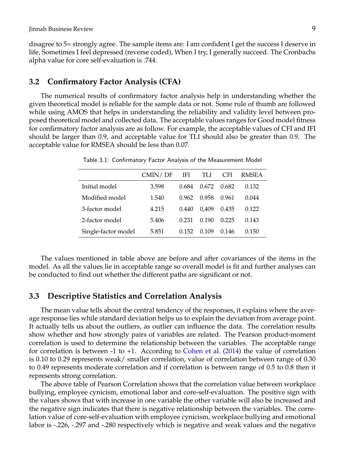disagree to 5= strongly agree. The sample items are: I am confident I get the success I deserve in life, Sometimes I feel depressed (reverse coded), When I try, I generally succeed. The Cronbachs alpha value for core self-evaluation is .744.

#### **3.2 Confirmatory Factor Analysis (CFA)**

The numerical results of confirmatory factor analysis help in understanding whether the given theoretical model is reliable for the sample data or not. Some rule of thumb are followed while using AMOS that helps in understanding the reliability and validity level between proposed theoretical model and collected data. The acceptable values ranges for Good model fitness for confirmatory factor analysis are as follow. For example, the acceptable values of CFI and IFI should be larger than 0.9, and acceptable value for TLI should also be greater than 0.9. The acceptable value for RMSEA should be less than 0.07.

|                     | CMIN/DF | IFI.  | TLI   | CFI.  | RMSEA |
|---------------------|---------|-------|-------|-------|-------|
| Initial model       | 3.598   | 0.684 | 0.672 | 0.682 | 0.132 |
| Modified model      | 1.540   | 0.962 | 0.958 | 0.961 | 0.044 |
| 3-factor model      | 4.215   | 0.440 | 0.409 | 0.435 | 0.122 |
| 2-factor model      | 5.406   | 0.231 | 0.190 | 0.225 | 0.143 |
| Single-factor model | 5.851   | 0.152 | 0.109 | 0.146 | 0.150 |

Table 3.1: Confirmatory Factor Analysis of the Measurement Model

The values mentioned in table above are before and after covariances of the items in the model. As all the values lie in acceptable range so overall model is fit and further analyses can be conducted to find out whether the different paths are significant or not.

#### **3.3 Descriptive Statistics and Correlation Analysis**

The mean value tells about the central tendency of the responses, it explains where the average response lies while standard deviation helps us to explain the deviation from average point. It actually tells us about the outliers, as outlier can influence the data. The correlation results show whether and how strongly pairs of variables are related. The Pearson product-moment correlation is used to determine the relationship between the variables. The acceptable range for correlation is between -1 to +1. According to [Cohen et al.](#page-15-10) [\(2014\)](#page-15-10) the value of correlation is 0.10 to 0.29 represents weak/ smaller correlation, value of correlation between range of 0.30 to 0.49 represents moderate correlation and if correlation is between range of 0.5 to 0.8 then it represents strong correlation.

The above table of Pearson Correlation shows that the correlation value between workplace bullying, employee cynicism, emotional labor and core-self-evaluation. The positive sign with the values shows that with increase in one variable the other variable will also be increased and the negative sign indicates that there is negative relationship between the variables. The correlation value of core-self-evaluation with employee cynicism, workplace bullying and emotional labor is -.226, -.297 and -.280 respectively which is negative and weak values and the negative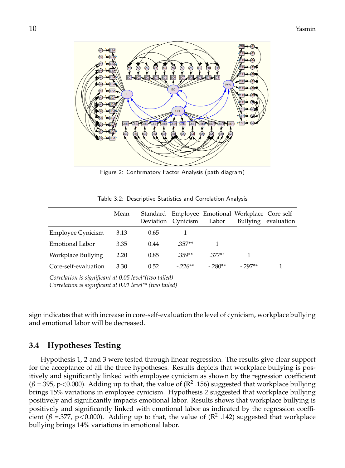Figure 2: Confirmatory Factor Analysis (path diagram)

|  |  |  | Table 3.2: Descriptive Statistics and Correlation Analysis |  |
|--|--|--|------------------------------------------------------------|--|
|--|--|--|------------------------------------------------------------|--|

|                      | Mean |      | Deviation Cynicism | Labor    | Standard Employee Emotional Workplace Core-self- | Bullying evaluation |
|----------------------|------|------|--------------------|----------|--------------------------------------------------|---------------------|
| Employee Cynicism    | 3.13 | 0.65 |                    |          |                                                  |                     |
| Emotional Labor      | 3.35 | 0.44 | $.357**$           |          |                                                  |                     |
| Workplace Bullying   | 2.20 | 0.85 | $.359**$           | $.377**$ |                                                  |                     |
| Core-self-evaluation | 3.30 | 0.52 | $-226**$           | $-280**$ | $-297**$                                         |                     |

*Correlation is significant at 0.05 level\*(two tailed) Correlation is significant at 0.01 level\*\* (two tailed)*

sign indicates that with increase in core-self-evaluation the level of cynicism, workplace bullying and emotional labor will be decreased.

### **3.4 Hypotheses Testing**

Hypothesis 1, 2 and 3 were tested through linear regression. The results give clear support for the acceptance of all the three hypotheses. Results depicts that workplace bullying is positively and significantly linked with employee cynicism as shown by the regression coefficient ( $β = 395$ ,  $p < 0.000$ ). Adding up to that, the value of ( $R^2$  .156) suggested that workplace bullying brings 15% variations in employee cynicism. Hypothesis 2 suggested that workplace bullying positively and significantly impacts emotional labor. Results shows that workplace bullying is positively and significantly linked with emotional labor as indicated by the regression coefficient ( $\beta$  =.377, p<0.000). Adding up to that, the value of ( $\mathbb{R}^2$  .142) suggested that workplace bullying brings 14% variations in emotional labor.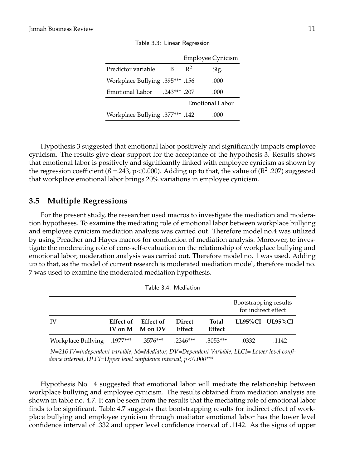|                                 |               |       | Employee Cynicism |
|---------------------------------|---------------|-------|-------------------|
| Predictor variable              | в             | $R^2$ | Sig.              |
| 156. ***395. Workplace Bullying |               |       | .000              |
| Emotional Labor                 | $.243***$ 207 |       | .000              |
|                                 |               |       | Emotional Labor   |
| 142. ***377. Workplace Bullying |               |       | (1(1))            |

Table 3.3: Linear Regression

Hypothesis 3 suggested that emotional labor positively and significantly impacts employee cynicism. The results give clear support for the acceptance of the hypothesis 3. Results shows that emotional labor is positively and significantly linked with employee cynicism as shown by the regression coefficient ( $\beta$  = 243, p<0.000). Adding up to that, the value of ( $\mathbb{R}^2$  .207) suggested that workplace emotional labor brings 20% variations in employee cynicism.

### **3.5 Multiple Regressions**

For the present study, the researcher used macros to investigate the mediation and moderation hypotheses. To examine the mediating role of emotional labor between workplace bullying and employee cynicism mediation analysis was carried out. Therefore model no.4 was utilized by using Preacher and Hayes macros for conduction of mediation analysis. Moreover, to investigate the moderating role of core-self-evaluation on the relationship of workplace bullying and emotional labor, moderation analysis was carried out. Therefore model no. 1 was used. Adding up to that, as the model of current research is moderated mediation model, therefore model no. 7 was used to examine the moderated mediation hypothesis.

|                                                       |                     |               |               | Bootstrapping results |                 |
|-------------------------------------------------------|---------------------|---------------|---------------|-----------------------|-----------------|
|                                                       |                     |               |               | for indirect effect   |                 |
| IV                                                    | Effect of Effect of | <b>Direct</b> | Total         |                       | LL95%CI UL95%CI |
|                                                       | IV on M M on DV     | Effect        | <b>Effect</b> |                       |                 |
| .2346*** .2346** Workplace Bullying .1977*** .3576*** |                     |               | $.3053***$    | .0332                 | .1142           |

Table 3.4: Mediation

*N=216 IV=independent variable, M=Mediator, DV=Dependent Variable, LLCI= Lower level confidence interval, ULCI=Upper level confidence interval, p*<*0.000\*\*\**

Hypothesis No. 4 suggested that emotional labor will mediate the relationship between workplace bullying and employee cynicism. The results obtained from mediation analysis are shown in table no. 4.7. It can be seen from the results that the mediating role of emotional labor finds to be significant. Table 4.7 suggests that bootstrapping results for indirect effect of workplace bullying and employee cynicism through mediator emotional labor has the lower level confidence interval of .332 and upper level confidence interval of .1142. As the signs of upper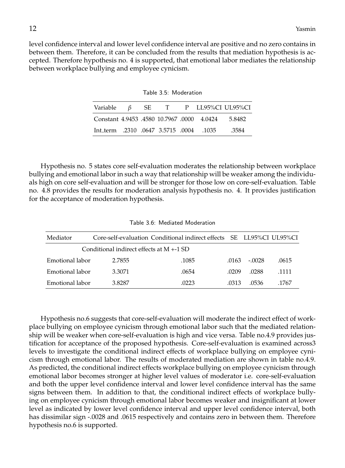level confidence interval and lower level confidence interval are positive and no zero contains in between them. Therefore, it can be concluded from the results that mediation hypothesis is accepted. Therefore hypothesis no. 4 is supported, that emotional labor mediates the relationship between workplace bullying and employee cynicism.

| Table 3.5: Moderation |  |
|-----------------------|--|
|                       |  |

|                                              |  |  | Variable $\beta$ SE T P LL95%CI UL95%CI |
|----------------------------------------------|--|--|-----------------------------------------|
| Constant 4.9453 .4580 10.7967 .0000 4.0424   |  |  | 5.8482                                  |
| 1035. 0004. ht_term .2310 .0647 3.5715 .0004 |  |  | .3584                                   |

Hypothesis no. 5 states core self-evaluation moderates the relationship between workplace bullying and emotional labor in such a way that relationship will be weaker among the individuals high on core self-evaluation and will be stronger for those low on core-self-evaluation. Table no. 4.8 provides the results for moderation analysis hypothesis no. 4. It provides justification for the acceptance of moderation hypothesis.

| Table 3.6: Mediated Moderation |  |  |
|--------------------------------|--|--|
|--------------------------------|--|--|

| Mediator                                   |        | Core-self-evaluation Conditional indirect effects SE LL95%CI UL95%CI |       |         |       |
|--------------------------------------------|--------|----------------------------------------------------------------------|-------|---------|-------|
| Conditional indirect effects at $M + 1$ SD |        |                                                                      |       |         |       |
| Emotional labor                            | 2.7855 | .1085                                                                | .0163 | $-0028$ | .0615 |
| Emotional labor                            | 3.3071 | .0654                                                                | .0209 | .0288   | .1111 |
| Emotional labor                            | 38287  | .0223                                                                | 0313  | .0536   | .1767 |

Hypothesis no.6 suggests that core-self-evaluation will moderate the indirect effect of workplace bullying on employee cynicism through emotional labor such that the mediated relationship will be weaker when core-self-evaluation is high and vice versa. Table no.4.9 provides justification for acceptance of the proposed hypothesis. Core-self-evaluation is examined across3 levels to investigate the conditional indirect effects of workplace bullying on employee cynicism through emotional labor. The results of moderated mediation are shown in table no.4.9. As predicted, the conditional indirect effects workplace bullying on employee cynicism through emotional labor becomes stronger at higher level values of moderator i.e. core-self-evaluation and both the upper level confidence interval and lower level confidence interval has the same signs between them. In addition to that, the conditional indirect effects of workplace bullying on employee cynicism through emotional labor becomes weaker and insignificant at lower level as indicated by lower level confidence interval and upper level confidence interval, both has dissimilar sign -.0028 and .0615 respectively and contains zero in between them. Therefore hypothesis no.6 is supported.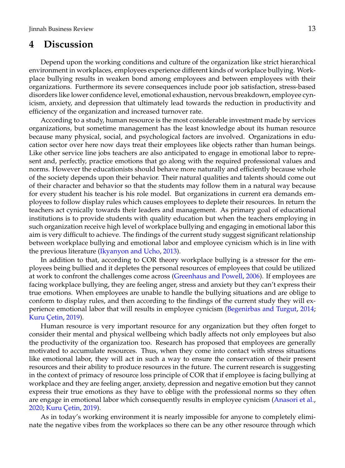# **4 Discussion**

Depend upon the working conditions and culture of the organization like strict hierarchical environment in workplaces, employees experience different kinds of workplace bullying. Workplace bullying results in weaken bond among employees and between employees with their organizations. Furthermore its severe consequences include poor job satisfaction, stress-based disorders like lower confidence level, emotional exhaustion, nervous breakdown, employee cynicism, anxiety, and depression that ultimately lead towards the reduction in productivity and efficiency of the organization and increased turnover rate.

According to a study, human resource is the most considerable investment made by services organizations, but sometime management has the least knowledge about its human resource because many physical, social, and psychological factors are involved. Organizations in education sector over here now days treat their employees like objects rather than human beings. Like other service line jobs teachers are also anticipated to engage in emotional labor to represent and, perfectly, practice emotions that go along with the required professional values and norms. However the educationists should behave more naturally and efficiently because whole of the society depends upon their behavior. Their natural qualities and talents should come out of their character and behavior so that the students may follow them in a natural way because for every student his teacher is his role model. But organizations in current era demands employees to follow display rules which causes employees to deplete their resources. In return the teachers act cynically towards their leaders and management. As primary goal of educational institutions is to provide students with quality education but when the teachers employing in such organization receive high level of workplace bullying and engaging in emotional labor this aim is very difficult to achieve. The findings of the current study suggest significant relationship between workplace bullying and emotional labor and employee cynicism which is in line with the previous literature [\(Ikyanyon and Ucho,](#page-16-7) [2013\)](#page-16-7).

In addition to that, according to COR theory workplace bullying is a stressor for the employees being bullied and it depletes the personal resources of employees that could be utilized at work to confront the challenges come across [\(Greenhaus and Powell,](#page-16-9) [2006\)](#page-16-9). If employees are facing workplace bullying, they are feeling anger, stress and anxiety but they can't express their true emotions. When employees are unable to handle the bullying situations and are oblige to conform to display rules, and then according to the findings of the current study they will experience emotional labor that will results in employee cynicism [\(Begenirbas and Turgut,](#page-15-4) [2014;](#page-15-4) Kuru Çetin, [2019\)](#page-16-11).

Human resource is very important resource for any organization but they often forget to consider their mental and physical wellbeing which badly affects not only employees but also the productivity of the organization too. Research has proposed that employees are generally motivated to accumulate resources. Thus, when they come into contact with stress situations like emotional labor, they will act in such a way to ensure the conservation of their present resources and their ability to produce resources in the future. The current research is suggesting in the context of primacy of resource loss principle of COR that if employee is facing bullying at workplace and they are feeling anger, anxiety, depression and negative emotion but they cannot express their true emotions as they have to oblige with the professional norms so they often are engage in emotional labor which consequently results in employee cynicism [\(Anasori et al.,](#page-15-1) [2020;](#page-15-1) Kuru Çetin, [2019\)](#page-16-11).

As in today's working environment it is nearly impossible for anyone to completely eliminate the negative vibes from the workplaces so there can be any other resource through which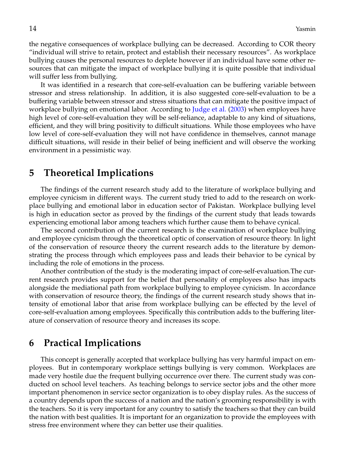the negative consequences of workplace bullying can be decreased. According to COR theory "individual will strive to retain, protect and establish their necessary resources". As workplace bullying causes the personal resources to deplete however if an individual have some other resources that can mitigate the impact of workplace bullying it is quite possible that individual will suffer less from bullying.

It was identified in a research that core-self-evaluation can be buffering variable between stressor and stress relationship. In addition, it is also suggested core-self-evaluation to be a buffering variable between stressor and stress situations that can mitigate the positive impact of workplace bullying on emotional labor. According to [Judge et al.](#page-16-13) [\(2003\)](#page-16-13) when employees have high level of core-self-evaluation they will be self-reliance, adaptable to any kind of situations, efficient, and they will bring positivity to difficult situations. While those employees who have low level of core-self-evaluation they will not have confidence in themselves, cannot manage difficult situations, will reside in their belief of being inefficient and will observe the working environment in a pessimistic way.

# **5 Theoretical Implications**

The findings of the current research study add to the literature of workplace bullying and employee cynicism in different ways. The current study tried to add to the research on workplace bullying and emotional labor in education sector of Pakistan. Workplace bullying level is high in education sector as proved by the findings of the current study that leads towards experiencing emotional labor among teachers which further cause them to behave cynical.

The second contribution of the current research is the examination of workplace bullying and employee cynicism through the theoretical optic of conservation of resource theory. In light of the conservation of resource theory the current research adds to the literature by demonstrating the process through which employees pass and leads their behavior to be cynical by including the role of emotions in the process.

Another contribution of the study is the moderating impact of core-self-evaluation.The current research provides support for the belief that personality of employees also has impacts alongside the mediational path from workplace bullying to employee cynicism. In accordance with conservation of resource theory, the findings of the current research study shows that intensity of emotional labor that arise from workplace bullying can be effected by the level of core-self-evaluation among employees. Specifically this contribution adds to the buffering literature of conservation of resource theory and increases its scope.

# **6 Practical Implications**

This concept is generally accepted that workplace bullying has very harmful impact on employees. But in contemporary workplace settings bullying is very common. Workplaces are made very hostile due the frequent bullying occurrence over there. The current study was conducted on school level teachers. As teaching belongs to service sector jobs and the other more important phenomenon in service sector organization is to obey display rules. As the success of a country depends upon the success of a nation and the nation's grooming responsibility is with the teachers. So it is very important for any country to satisfy the teachers so that they can build the nation with best qualities. It is important for an organization to provide the employees with stress free environment where they can better use their qualities.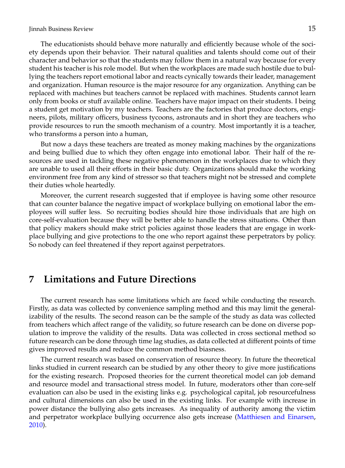#### Jinnah Business Review 15

The educationists should behave more naturally and efficiently because whole of the society depends upon their behavior. Their natural qualities and talents should come out of their character and behavior so that the students may follow them in a natural way because for every student his teacher is his role model. But when the workplaces are made such hostile due to bullying the teachers report emotional labor and reacts cynically towards their leader, management and organization. Human resource is the major resource for any organization. Anything can be replaced with machines but teachers cannot be replaced with machines. Students cannot learn only from books or stuff available online. Teachers have major impact on their students. I being a student get motivation by my teachers. Teachers are the factories that produce doctors, engineers, pilots, military officers, business tycoons, astronauts and in short they are teachers who provide resources to run the smooth mechanism of a country. Most importantly it is a teacher, who transforms a person into a human,

But now a days these teachers are treated as money making machines by the organizations and being bullied due to which they often engage into emotional labor. Their half of the resources are used in tackling these negative phenomenon in the workplaces due to which they are unable to used all their efforts in their basic duty. Organizations should make the working environment free from any kind of stressor so that teachers might not be stressed and complete their duties whole heartedly.

Moreover, the current research suggested that if employee is having some other resource that can counter balance the negative impact of workplace bullying on emotional labor the employees will suffer less. So recruiting bodies should hire those individuals that are high on core-self-evaluation because they will be better able to handle the stress situations. Other than that policy makers should make strict policies against those leaders that are engage in workplace bullying and give protections to the one who report against these perpetrators by policy. So nobody can feel threatened if they report against perpetrators.

### **7 Limitations and Future Directions**

The current research has some limitations which are faced while conducting the research. Firstly, as data was collected by convenience sampling method and this may limit the generalizability of the results. The second reason can be the sample of the study as data was collected from teachers which affect range of the validity, so future research can be done on diverse population to improve the validity of the results. Data was collected in cross sectional method so future research can be done through time lag studies, as data collected at different points of time gives improved results and reduce the common method biasness.

The current research was based on conservation of resource theory. In future the theoretical links studied in current research can be studied by any other theory to give more justifications for the existing research. Proposed theories for the current theoretical model can job demand and resource model and transactional stress model. In future, moderators other than core-self evaluation can also be used in the existing links e.g. psychological capital, job resourcefulness and cultural dimensions can also be used in the existing links. For example with increase in power distance the bullying also gets increases. As inequality of authority among the victim and perpetrator workplace bullying occurrence also gets increase [\(Matthiesen and Einarsen,](#page-16-19) [2010\)](#page-16-19).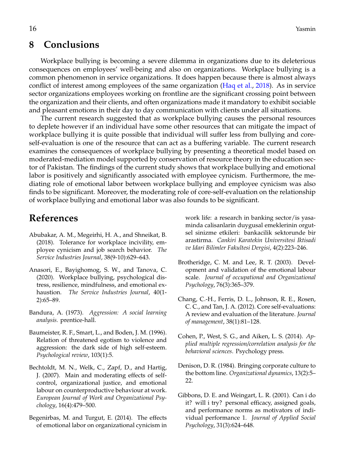# **8 Conclusions**

Workplace bullying is becoming a severe dilemma in organizations due to its deleterious consequences on employees' well-being and also on organizations. Workplace bullying is a common phenomenon in service organizations. It does happen because there is almost always conflict of interest among employees of the same organization [\(Haq et al.,](#page-16-20) [2018\)](#page-16-20). As in service sector organizations employees working on frontline are the significant crossing point between the organization and their clients, and often organizations made it mandatory to exhibit sociable and pleasant emotions in their day to day communication with clients under all situations.

The current research suggested that as workplace bullying causes the personal resources to deplete however if an individual have some other resources that can mitigate the impact of workplace bullying it is quite possible that individual will suffer less from bullying and coreself-evaluation is one of the resource that can act as a buffering variable. The current research examines the consequences of workplace bullying by presenting a theoretical model based on moderated-mediation model supported by conservation of resource theory in the education sector of Pakistan. The findings of the current study shows that workplace bullying and emotional labor is positively and significantly associated with employee cynicism. Furthermore, the mediating role of emotional labor between workplace bullying and employee cynicism was also finds to be significant. Moreover, the moderating role of core-self-evaluation on the relationship of workplace bullying and emotional labor was also founds to be significant.

# **References**

- <span id="page-15-0"></span>Abubakar, A. M., Megeirhi, H. A., and Shneikat, B. (2018). Tolerance for workplace incivility, employee cynicism and job search behavior. *The Service Industries Journal*, 38(9-10):629–643.
- <span id="page-15-1"></span>Anasori, E., Bayighomog, S. W., and Tanova, C. (2020). Workplace bullying, psychological distress, resilience, mindfulness, and emotional exhaustion. *The Service Industries Journal*, 40(1- 2):65–89.
- <span id="page-15-7"></span>Bandura, A. (1973). *Aggression: A social learning analysis.* prentice-hall.
- <span id="page-15-6"></span>Baumeister, R. F., Smart, L., and Boden, J. M. (1996). Relation of threatened egotism to violence and aggression: the dark side of high self-esteem. *Psychological review*, 103(1):5.
- <span id="page-15-5"></span>Bechtoldt, M. N., Welk, C., Zapf, D., and Hartig, J. (2007). Main and moderating effects of selfcontrol, organizational justice, and emotional labour on counterproductive behaviour at work. *European Journal of Work and Organizational Psychology*, 16(4):479–500.
- <span id="page-15-4"></span>Begenirbas, M. and Turgut, E. (2014). The effects of emotional labor on organizational cynicism in

work life: a research in banking sector/is yasaminda calisanlarin duygusal emeklerinin orgutsel sinizme etkileri: bankacilik sektorunde bir arastirma. *Cankiri Karatekin Universitesi Iktisadi ve Idari Bilimler Fakultesi Dergisi*, 4(2):223–246.

- <span id="page-15-3"></span>Brotheridge, C. M. and Lee, R. T. (2003). Development and validation of the emotional labour scale. *Journal of occupational and Organizational Psychology*, 76(3):365–379.
- <span id="page-15-9"></span>Chang, C.-H., Ferris, D. L., Johnson, R. E., Rosen, C. C., and Tan, J. A. (2012). Core self-evaluations: A review and evaluation of the literature. *Journal of management*, 38(1):81–128.
- <span id="page-15-10"></span>Cohen, P., West, S. G., and Aiken, L. S. (2014). *Applied multiple regression/correlation analysis for the behavioral sciences*. Psychology press.
- <span id="page-15-2"></span>Denison, D. R. (1984). Bringing corporate culture to the bottom line. *Organizational dynamics*, 13(2):5– 22.
- <span id="page-15-8"></span>Gibbons, D. E. and Weingart, L. R. (2001). Can i do it? will i try? personal efficacy, assigned goals, and performance norms as motivators of individual performance 1. *Journal of Applied Social Psychology*, 31(3):624–648.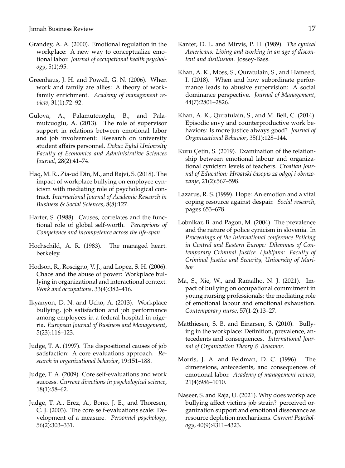- <span id="page-16-1"></span>Grandey, A. A. (2000). Emotional regulation in the workplace: A new way to conceptualize emotional labor. *Journal of occupational health psychology*, 5(1):95.
- <span id="page-16-9"></span>Greenhaus, J. H. and Powell, G. N. (2006). When work and family are allies: A theory of workfamily enrichment. *Academy of management review*, 31(1):72–92.
- <span id="page-16-10"></span>Gulova, A., Palamutcuoglu, B., and Palamutcuoglu, A. (2013). The role of supervisor support in relations between emotional labor and job involvement: Research on university student affairs personnel. *Dokuz Eylul University Faculty of Economics and Administrative Sciences Journal*, 28(2):41–74.
- <span id="page-16-20"></span>Haq, M. R., Zia-ud Din, M., and Rajvi, S. (2018). The impact of workplace bullying on employee cynicism with mediating role of psychological contract. *International Journal of Academic Research in Business & Social Sciences*, 8(8):127.
- <span id="page-16-16"></span>Harter, S. (1988). Causes, correlates and the functional role of global self-worth. *Perceprions of Competence and incompetence across the life-span*.
- <span id="page-16-3"></span>Hochschild, A. R. (1983). The managed heart. berkeley.
- <span id="page-16-0"></span>Hodson, R., Roscigno, V. J., and Lopez, S. H. (2006). Chaos and the abuse of power: Workplace bullying in organizational and interactional context. *Work and occupations*, 33(4):382–416.
- <span id="page-16-7"></span>Ikyanyon, D. N. and Ucho, A. (2013). Workplace bullying, job satisfaction and job performance among employees in a federal hospital in nigeria. *European Journal of Business and Management*, 5(23):116–123.
- <span id="page-16-15"></span>Judge, T. A. (1997). The dispositional causes of job satisfaction: A core evaluations approach. *Research in organizational behavior*, 19:151–188.
- <span id="page-16-14"></span>Judge, T. A. (2009). Core self-evaluations and work success. *Current directions in psychological science*, 18(1):58–62.
- <span id="page-16-13"></span>Judge, T. A., Erez, A., Bono, J. E., and Thoresen, C. J. (2003). The core self-evaluations scale: Development of a measure. *Personnel psychology*, 56(2):303–331.
- <span id="page-16-5"></span>Kanter, D. L. and Mirvis, P. H. (1989). *The cynical Americans: Living and working in an age of discontent and disillusion.* Jossey-Bass.
- <span id="page-16-17"></span>Khan, A. K., Moss, S., Quratulain, S., and Hameed, I. (2018). When and how subordinate performance leads to abusive supervision: A social dominance perspective. *Journal of Management*, 44(7):2801–2826.
- <span id="page-16-18"></span>Khan, A. K., Quratulain, S., and M. Bell, C. (2014). Episodic envy and counterproductive work behaviors: Is more justice always good? *Journal of Organizational Behavior*, 35(1):128–144.
- <span id="page-16-11"></span>Kuru Çetin, S. (2019). Examination of the relationship between emotional labour and organizational cynicism levels of teachers. *Croatian Journal of Education: Hrvatski ˇcasopis za odgoj i obrazovanje*, 21(2):567–598.
- <span id="page-16-6"></span>Lazarus, R. S. (1999). Hope: An emotion and a vital coping resource against despair. *Social research*, pages 653–678.
- <span id="page-16-4"></span>Lobnikar, B. and Pagon, M. (2004). The prevalence and the nature of police cynicism in slovenia. In *Proceedings of the International conference Policing in Central and Eastern Europe: Dilemmas of Contemporary Criminal Justice. Ljubljana: Faculty of Criminal Justice and Security, University of Maribor*.
- <span id="page-16-2"></span>Ma, S., Xie, W., and Ramalho, N. J. (2021). Impact of bullying on occupational commitment in young nursing professionals: the mediating role of emotional labour and emotional exhaustion. *Contemporary nurse*, 57(1-2):13–27.
- <span id="page-16-19"></span>Matthiesen, S. B. and Einarsen, S. (2010). Bullying in the workplace: Definition, prevalence, antecedents and consequences. *International Journal of Organization Theory & Behavior*.
- <span id="page-16-8"></span>Morris, J. A. and Feldman, D. C. (1996). The dimensions, antecedents, and consequences of emotional labor. *Academy of management review*, 21(4):986–1010.
- <span id="page-16-12"></span>Naseer, S. and Raja, U. (2021). Why does workplace bullying affect victims job strain? perceived organization support and emotional dissonance as resource depletion mechanisms. *Current Psychology*, 40(9):4311–4323.